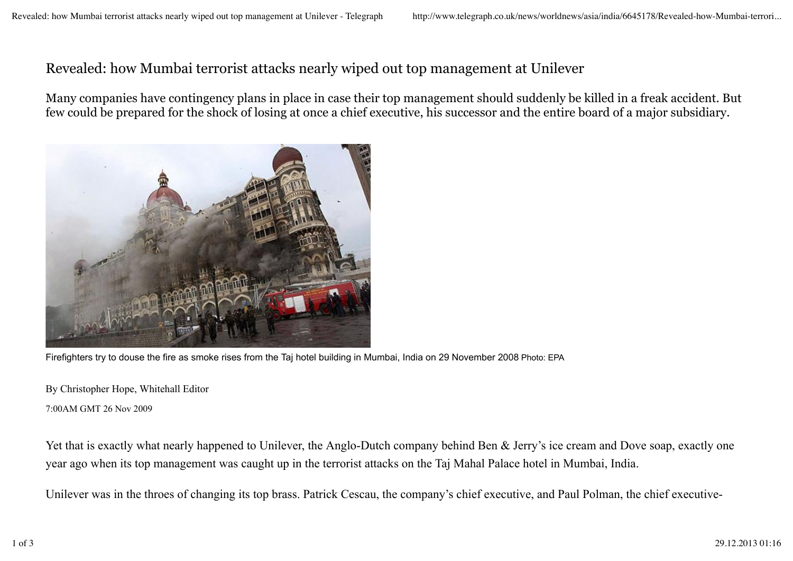## Revealed: how Mumbai terrorist attacks nearly wiped out top management at Unilever

Many companies have contingency plans in place in case their top management should suddenly be killed in a freak accident. But few could be prepared for the shock of losing at once a chief executive, his successor and the entire board of a major subsidiary.



Firefighters try to douse the fire as smoke rises from the Taj hotel building in Mumbai, India on 29 November 2008 Photo: EPA

By Christopher Hope, Whitehall Editor

7:00AM GMT 26 Nov 2009

Yet that is exactly what nearly happened to Unilever, the Anglo-Dutch company behind Ben & Jerry's ice cream and Dove soap, exactly one year ago when its top management was caught up in the terrorist attacks on the Taj Mahal Palace hotel in Mumbai, India.

Unilever was in the throes of changing its top brass. Patrick Cescau, the company's chief executive, and Paul Polman, the chief executive-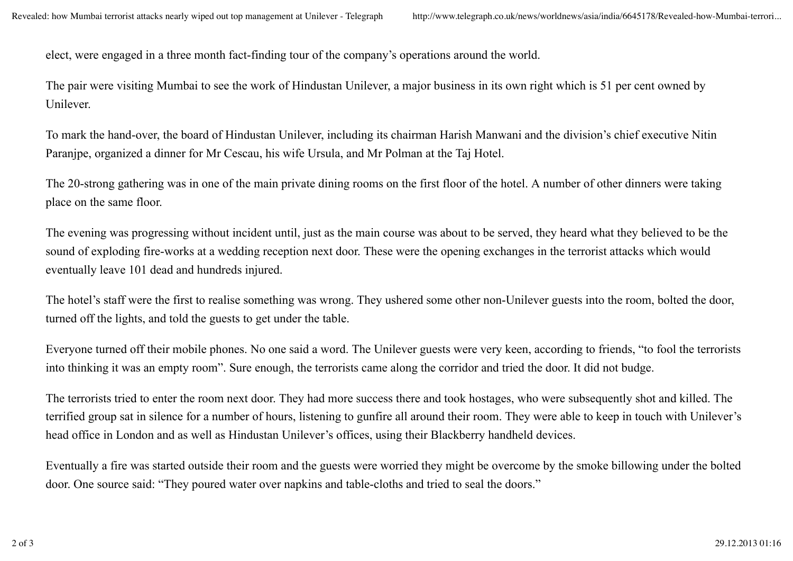elect, were engaged in a three month fact-finding tour of the company's operations around the world.

The pair were visiting Mumbai to see the work of Hindustan Unilever, a major business in its own right which is 51 per cent owned by Unilever.

To mark the hand-over, the board of Hindustan Unilever, including its chairman Harish Manwani and the division's chief executive Nitin Paranjpe, organized a dinner for Mr Cescau, his wife Ursula, and Mr Polman at the Taj Hotel.

The 20-strong gathering was in one of the main private dining rooms on the first floor of the hotel. A number of other dinners were taking place on the same floor.

The evening was progressing without incident until, just as the main course was about to be served, they heard what they believed to be the sound of exploding fire-works at a wedding reception next door. These were the opening exchanges in the terrorist attacks which would eventually leave 101 dead and hundreds injured.

The hotel's staff were the first to realise something was wrong. They ushered some other non-Unilever guests into the room, bolted the door, turned off the lights, and told the guests to get under the table.

Everyone turned off their mobile phones. No one said a word. The Unilever guests were very keen, according to friends, "to fool the terrorists into thinking it was an empty room". Sure enough, the terrorists came along the corridor and tried the door. It did not budge.

The terrorists tried to enter the room next door. They had more success there and took hostages, who were subsequently shot and killed. The terrified group sat in silence for a number of hours, listening to gunfire all around their room. They were able to keep in touch with Unilever's head office in London and as well as Hindustan Unilever's offices, using their Blackberry handheld devices.

Eventually a fire was started outside their room and the guests were worried they might be overcome by the smoke billowing under the bolted door. One source said: "They poured water over napkins and table-cloths and tried to seal the doors."